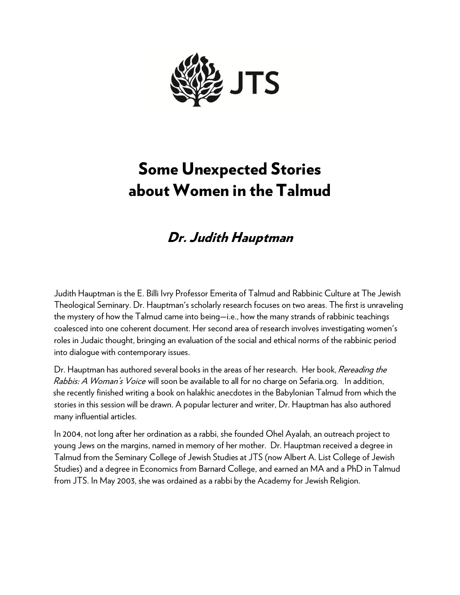

## Some Unexpected Stories about Women in the Talmud

## Dr. Judith Hauptman

Judith Hauptman is the E. Billi Ivry Professor Emerita of Talmud and Rabbinic Culture at The Jewish Theological Seminary. Dr. Hauptman's scholarly research focuses on two areas. The first is unraveling the mystery of how the Talmud came into being—i.e., how the many strands of rabbinic teachings coalesced into one coherent document. Her second area of research involves investigating women's roles in Judaic thought, bringing an evaluation of the social and ethical norms of the rabbinic period into dialogue with contemporary issues.

Dr. Hauptman has authored several books in the areas of her research. Her book, Rereading the Rabbis: A Woman's Voice will soon be available to all for no charge on Sefaria.org. In addition, she recently finished writing a book on halakhic anecdotes in the Babylonian Talmud from which the stories in this session will be drawn. A popular lecturer and writer, Dr. Hauptman has also authored many influential articles.

In 2004, not long after her ordination as a rabbi, she founded Ohel Ayalah, an outreach project to young Jews on the margins, named in memory of her mother. Dr. Hauptman received a degree in Talmud from the Seminary College of Jewish Studies at JTS (now Albert A. List College of Jewish Studies) and a degree in Economics from Barnard College, and earned an MA and a PhD in Talmud from JTS. In May 2003, she was ordained as a rabbi by the Academy for Jewish Religion.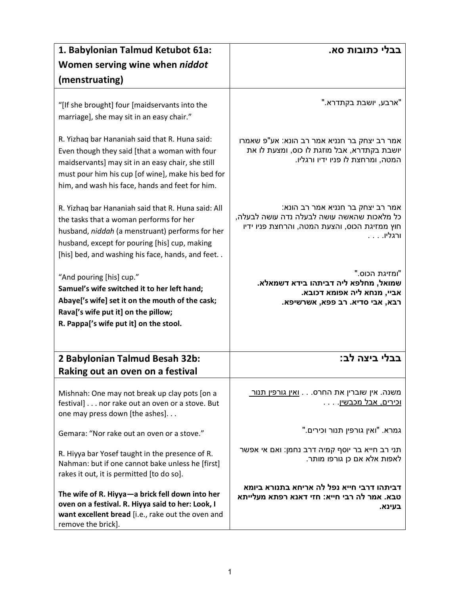| 1. Babylonian Talmud Ketubot 61a:                                                                                                                                                                                                                            | בבלי כתובות סא.                                                                                                                               |
|--------------------------------------------------------------------------------------------------------------------------------------------------------------------------------------------------------------------------------------------------------------|-----------------------------------------------------------------------------------------------------------------------------------------------|
| Women serving wine when niddot                                                                                                                                                                                                                               |                                                                                                                                               |
| (menstruating)                                                                                                                                                                                                                                               |                                                                                                                                               |
| "[If she brought] four [maidservants into the<br>marriage], she may sit in an easy chair."                                                                                                                                                                   | "ארבע, יושבת בקתדרא."                                                                                                                         |
| R. Yizhaq bar Hananiah said that R. Huna said:<br>Even though they said [that a woman with four<br>maidservants] may sit in an easy chair, she still<br>must pour him his cup [of wine], make his bed for<br>him, and wash his face, hands and feet for him. | אמר רב יצחק בר חנניא אמר רב הונא: אע"פ שאמרו<br>יושבת בקתדרא, אבל מוזגת לו כוס, ומצעת לו את<br>המטה, ומרחצת לו פניו ידיו ורגליו.              |
| R. Yizhaq bar Hananiah said that R. Huna said: All<br>the tasks that a woman performs for her<br>husband, niddah (a menstruant) performs for her<br>husband, except for pouring [his] cup, making<br>[his] bed, and washing his face, hands, and feet        | אמר רב יצחק בר חנניא אמר רב הונא:<br>כל מלאכות שהאשה עושה לבעלה נדה עושה לבעלה,<br>חוץ ממזיגת הכוס, והצעת המטה, והרחצת פניו ידיו<br>. ורגליו. |
| "And pouring [his] cup."<br>Samuel's wife switched it to her left hand;<br>Abaye['s wife] set it on the mouth of the cask;<br>Rava['s wife put it] on the pillow;<br>R. Pappa['s wife put it] on the stool.                                                  | "ומזיגת הכוס."<br>שמואל, מחלפא ליה דביתהו בידא דשמאלא.<br>אביי, מנחא ליה אפומא דכובא.<br>רבא, אבי סדיא. רב פפא, אשרשיפא.                      |
| 2 Babylonian Talmud Besah 32b:<br>Raking out an oven on a festival                                                                                                                                                                                           | בבלי ביצה לב:                                                                                                                                 |
| Mishnah: One may not break up clay pots [on a<br>festival] nor rake out an oven or a stove. But<br>one may press down [the ashes].                                                                                                                           | משנה. אין שוברין את החרס. <u>ואין גורפין תנור</u><br><u>וכירים, אבל מכבשין</u> .                                                              |
| Gemara: "Nor rake out an oven or a stove."                                                                                                                                                                                                                   | "גמרא. "ואין גורפין תנור וכירים.                                                                                                              |
| R. Hiyya bar Yosef taught in the presence of R.<br>Nahman: but if one cannot bake unless he [first]<br>rakes it out, it is permitted [to do so].                                                                                                             | תני רב חייא בר יוסף קמיה דרב נחמן: ואם אי אפשר<br>לאפות אלא אם כן גורפו מותר.                                                                 |
| The wife of R. Hiyya-a brick fell down into her<br>oven on a festival. R. Hiyya said to her: Look, I<br>want excellent bread [i.e., rake out the oven and<br>remove the brick].                                                                              | דביתהו דרבי חייא נפל לה אריחא בתנורא ביומא<br>טבא. אמר לה רבי חייא: חזי דאנא רפתא מעלייתא<br>בעינא.                                           |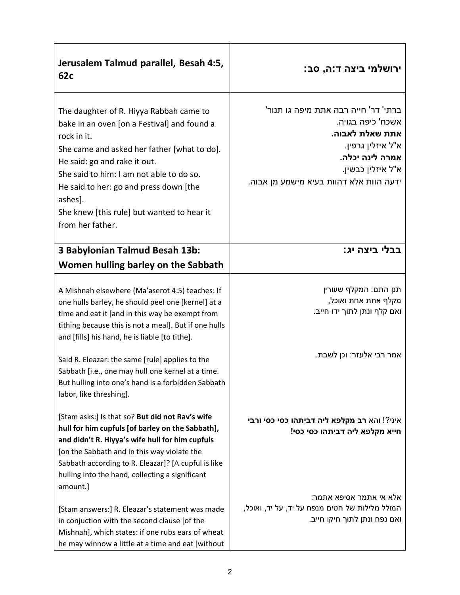| Jerusalem Talmud parallel, Besah 4:5,<br>62c                                                                                                                                                                                                                                                                                                                                                                                                                 | ירושלמי ביצה ד:ה, סב:                                                                                                                                                                |
|--------------------------------------------------------------------------------------------------------------------------------------------------------------------------------------------------------------------------------------------------------------------------------------------------------------------------------------------------------------------------------------------------------------------------------------------------------------|--------------------------------------------------------------------------------------------------------------------------------------------------------------------------------------|
| The daughter of R. Hiyya Rabbah came to<br>bake in an oven [on a Festival] and found a<br>rock in it.<br>She came and asked her father [what to do].<br>He said: go and rake it out.<br>She said to him: I am not able to do so.<br>He said to her: go and press down [the<br>ashes].<br>She knew [this rule] but wanted to hear it<br>from her father.                                                                                                      | ברתי' דר' חייה רבה אתת מיפה גו תנור'<br>אשכח' כיפה בגויה.<br>אתת שאלת לאבוה.<br>א"ל איזלין גרפין.<br>אמרה לינה יכלה.<br>א"ל איזלין כבשין.<br>ידעה הוות אלא דהוות בעיא מישמע מן אבוה. |
| 3 Babylonian Talmud Besah 13b:<br>Women hulling barley on the Sabbath                                                                                                                                                                                                                                                                                                                                                                                        | בבלי ביצה יג:                                                                                                                                                                        |
| A Mishnah elsewhere (Ma'aserot 4:5) teaches: If<br>one hulls barley, he should peel one [kernel] at a<br>time and eat it [and in this way be exempt from<br>tithing because this is not a meal]. But if one hulls<br>and [fills] his hand, he is liable [to tithe].<br>Said R. Eleazar: the same [rule] applies to the<br>Sabbath [i.e., one may hull one kernel at a time.<br>But hulling into one's hand is a forbidden Sabbath<br>labor, like threshing]. | תנן התם: המקלף שעורין<br>מקלף אחת אחת ואוכל,<br>ואם קלף ונתן לתוך ידו חייב.<br>אמר רבי אלעזר: וכן לשבת.                                                                              |
| [Stam asks:] Is that so? But did not Rav's wife<br>hull for him cupfuls [of barley on the Sabbath],<br>and didn't R. Hiyya's wife hull for him cupfuls<br>[on the Sabbath and in this way violate the<br>Sabbath according to R. Eleazar]? [A cupful is like<br>hulling into the hand, collecting a significant<br>amount.]                                                                                                                                  | איני?! והא רב מקלפא ליה דביתהו כסי כסי ורבי<br>חייא מקלפא ליה דביתהו כסי כסי!                                                                                                        |
| [Stam answers:] R. Eleazar's statement was made<br>in conjuction with the second clause [of the<br>Mishnah], which states: if one rubs ears of wheat<br>he may winnow a little at a time and eat [without                                                                                                                                                                                                                                                    | :אלא אי אתמר אסיפא אתמר<br>המולל מלילות של חטים מנפח על יד, על יד, ואוכל,<br>ואם נפח ונתן לתוך חיקו חייב.                                                                            |